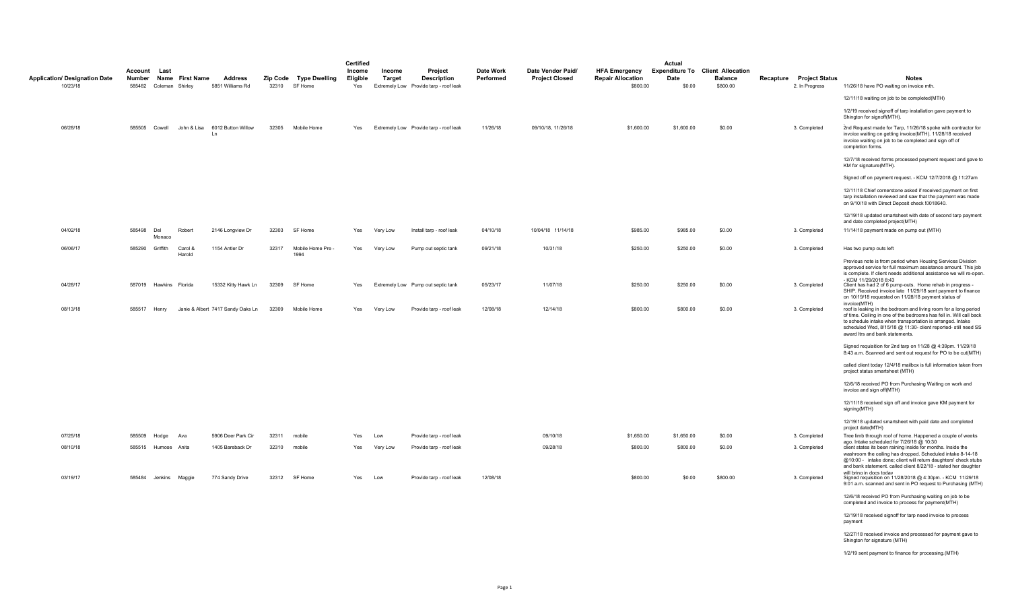|                                                  |                   |                                |                 |                                                    |       |                                         | Certified                 |                  |                                                                         |                        |                                            |                                                              | Actual                                                    |                            |                                            |                                                                                                                                                                                                                                                                                                            |
|--------------------------------------------------|-------------------|--------------------------------|-----------------|----------------------------------------------------|-------|-----------------------------------------|---------------------------|------------------|-------------------------------------------------------------------------|------------------------|--------------------------------------------|--------------------------------------------------------------|-----------------------------------------------------------|----------------------------|--------------------------------------------|------------------------------------------------------------------------------------------------------------------------------------------------------------------------------------------------------------------------------------------------------------------------------------------------------------|
| <b>Application/ Designation Date</b><br>10/23/18 | Account<br>Number | Last<br>585482 Coleman Shirley | Name First Name | Address<br>5851 Williams Rd                        |       | Zip Code Type Dwelling<br>32310 SF Home | Income<br>Eligible<br>Yes | Income<br>Target | Project<br><b>Description</b><br>Extremely Low Provide tarp - roof leak | Date Work<br>Performed | Date Vendor Paid/<br><b>Project Closed</b> | <b>HFA Emergency</b><br><b>Repair Allocation</b><br>\$800.00 | <b>Expenditure To Client Allocation</b><br>Date<br>\$0.00 | <b>Balance</b><br>\$800.00 | Recapture Project Status<br>2. In Progress | Notes<br>11/26/18 have PO waiting on invoice mth.                                                                                                                                                                                                                                                          |
|                                                  |                   |                                |                 |                                                    |       |                                         |                           |                  |                                                                         |                        |                                            |                                                              |                                                           |                            |                                            | 12/11/18 waiting on job to be completed(MTH)                                                                                                                                                                                                                                                               |
|                                                  |                   |                                |                 |                                                    |       |                                         |                           |                  |                                                                         |                        |                                            |                                                              |                                                           |                            |                                            | 1/2/19 received signoff of tarp installation gave payment to<br>Shington for signoff(MTH).                                                                                                                                                                                                                 |
| 06/28/18                                         |                   |                                |                 | 585505 Cowell John & Lisa 6012 Button Willow<br>Ln | 32305 | Mobile Home                             | Yes                       |                  | Extremely Low Provide tarp - roof leak                                  | 11/26/18               | 09/10/18, 11/26/18                         | \$1,600.00                                                   | \$1,600.00                                                | \$0.00                     | 3. Completed                               | 2nd Request made for Tarp, 11/26/18 spoke with contractor for<br>invoice waiting on getting invoice(MTH). 11/28/18 received<br>invoice waiting on job to be completed and sign off of<br>completion forms.                                                                                                 |
|                                                  |                   |                                |                 |                                                    |       |                                         |                           |                  |                                                                         |                        |                                            |                                                              |                                                           |                            |                                            | 12/7/18 received forms processed payment request and gave to<br>KM for signature(MTH).                                                                                                                                                                                                                     |
|                                                  |                   |                                |                 |                                                    |       |                                         |                           |                  |                                                                         |                        |                                            |                                                              |                                                           |                            |                                            | Signed off on payment request. - KCM 12/7/2018 @ 11:27am                                                                                                                                                                                                                                                   |
|                                                  |                   |                                |                 |                                                    |       |                                         |                           |                  |                                                                         |                        |                                            |                                                              |                                                           |                            |                                            | 12/11/18 Chief cornerstone asked if received payment on first<br>tarp installation reviewed and saw that the payment was made<br>on 9/10/18 with Direct Deposit check !0018640.                                                                                                                            |
|                                                  |                   |                                |                 |                                                    |       |                                         |                           |                  |                                                                         |                        |                                            |                                                              |                                                           |                            |                                            | 12/19/18 updated smartsheet with date of second tarp payment<br>and date completed project(MTH)                                                                                                                                                                                                            |
| 04/02/18                                         | 585498            | Del<br>Monaco                  | Robert          | 2146 Longview Dr                                   | 32303 | SF Home                                 | Yes                       | Very Low         | Install tarp - roof leak                                                | 04/10/18               | 10/04/18 11/14/18                          | \$985.00                                                     | \$985.00                                                  | \$0.00                     | 3. Completed                               | 11/14/18 payment made on pump out (MTH)                                                                                                                                                                                                                                                                    |
| 06/06/17                                         | 585290            | Griffith                       | Carol &         | 1154 Antler Dr                                     | 32317 | Mobile Home Pre -                       | Yes                       | Very Low         | Pump out septic tank                                                    | 09/21/18               | 10/31/18                                   | \$250.00                                                     | \$250.00                                                  | \$0.00                     | 3. Completed                               | Has two pump outs left                                                                                                                                                                                                                                                                                     |
|                                                  |                   |                                | Harold          |                                                    |       | 1994                                    |                           |                  |                                                                         |                        |                                            |                                                              |                                                           |                            |                                            | Previous note is from period when Housing Services Division<br>approved service for full maximum assistance amount. This job<br>is complete. If client needs additional assistance we will re-open<br>- KCM 11/29/2018 8:43                                                                                |
| 04/28/17                                         |                   | 587019 Hawkins Florida         |                 | 15332 Kitty Hawk Ln                                | 32309 | SF Home                                 | Yes                       |                  | Extremely Low Pump out septic tank                                      | 05/23/17               | 11/07/18                                   | \$250.00                                                     | \$250.00                                                  | \$0.00                     | 3. Completed                               | Client has had 2 of 6 pump-outs. Home rehab in progress -<br>SHIP. Received invoice late 11/29/18 sent payment to finance<br>on 10/19/18 requested on 11/28/18 payment status of<br>invoice(MTH)                                                                                                           |
| 08/13/18                                         | 585517 Henry      |                                |                 | Janie & Albert 7417 Sandy Oaks Ln                  | 32309 | Mobile Home                             | Yes                       | Very Low         | Provide tarp - roof leak                                                | 12/08/18               | 12/14/18                                   | \$800.00                                                     | \$800.00                                                  | \$0.00                     | 3. Completed                               | roof is leaking in the bedroom and living room for a long period<br>of time. Ceiling in one of the bedrooms has fell in. Will call back<br>to schedule intake when transportation is arranged. Intake<br>scheduled Wed, 8/15/18 @ 11:30- client reported- still need SS<br>award Itrs and bank statements. |
|                                                  |                   |                                |                 |                                                    |       |                                         |                           |                  |                                                                         |                        |                                            |                                                              |                                                           |                            |                                            | Signed requisition for 2nd tarp on 11/28 @ 4:39pm. 11/29/18<br>8:43 a.m. Scanned and sent out request for PO to be cut(MTH)                                                                                                                                                                                |
|                                                  |                   |                                |                 |                                                    |       |                                         |                           |                  |                                                                         |                        |                                            |                                                              |                                                           |                            |                                            | called client today 12/4/18 mailbox is full information taken from<br>project status smartsheet (MTH)                                                                                                                                                                                                      |
|                                                  |                   |                                |                 |                                                    |       |                                         |                           |                  |                                                                         |                        |                                            |                                                              |                                                           |                            |                                            | 12/6/18 received PO from Purchasing Waiting on work and<br>invoice and sign off(MTH)                                                                                                                                                                                                                       |
|                                                  |                   |                                |                 |                                                    |       |                                         |                           |                  |                                                                         |                        |                                            |                                                              |                                                           |                            |                                            | 12/11/18 received sign off and invoice gave KM payment for<br>signing(MTH)                                                                                                                                                                                                                                 |
|                                                  |                   |                                |                 |                                                    |       |                                         |                           |                  |                                                                         |                        |                                            |                                                              |                                                           |                            |                                            | 12/19/18 updated smartsheet with paid date and completed<br>project date(MTH)                                                                                                                                                                                                                              |
| 07/25/18                                         | 585509            | Hodge                          | Ava             | 5906 Deer Park Cir                                 | 32311 | mobile                                  | Yes                       | Low              | Provide tarp - roof leak                                                |                        | 09/10/18                                   | \$1,650.00                                                   | \$1,650.00                                                | \$0.00                     | 3. Completed                               | Tree limb through roof of home. Happened a couple of weeks<br>ago. Intake scheduled for 7/26/18 @ 10:30                                                                                                                                                                                                    |
| 08/10/18                                         |                   | 585515 Humose Anita            |                 | 1405 Bareback Dr                                   | 32310 | mobile                                  | Yes                       | Very Low         | Provide tarp - roof leak                                                |                        | 09/28/18                                   | \$800.00                                                     | \$800.00                                                  | \$0.00                     | 3. Completed                               | client states its been raining inside for months. Inside the<br>washroom the ceiling has dropped. Scheduled intake 8-14-18<br>@10:00 - intake done; client will return daughters' check stubs<br>and bank statement. called client 8/22/18 - stated her daughter<br>will bring in docs todav               |
| 03/19/17                                         |                   | 585484 Jenkins Maggie          |                 | 774 Sandy Drive                                    |       | 32312 SF Home                           | Yes                       | Low              | Provide tarp - roof leak                                                | 12/08/18               |                                            | \$800.00                                                     | \$0.00                                                    | \$800.00                   | 3. Completed                               | Signed requisition on 11/28/2018 @ 4:30pm. - KCM 11/29/18<br>9:01 a.m. scanned and sent in PO request to Purchasing (MTH)                                                                                                                                                                                  |
|                                                  |                   |                                |                 |                                                    |       |                                         |                           |                  |                                                                         |                        |                                            |                                                              |                                                           |                            |                                            | 12/6/18 received PO from Purchasing waiting on job to be<br>completed and invoice to process for payment(MTH)                                                                                                                                                                                              |
|                                                  |                   |                                |                 |                                                    |       |                                         |                           |                  |                                                                         |                        |                                            |                                                              |                                                           |                            |                                            | 12/19/18 received signoff for tarp need invoice to process<br>payment                                                                                                                                                                                                                                      |
|                                                  |                   |                                |                 |                                                    |       |                                         |                           |                  |                                                                         |                        |                                            |                                                              |                                                           |                            |                                            | 12/27/18 received invoice and processed for payment gave to<br>Shington for signature (MTH)                                                                                                                                                                                                                |

1/2/19 sent payment to finance for processing.(MTH)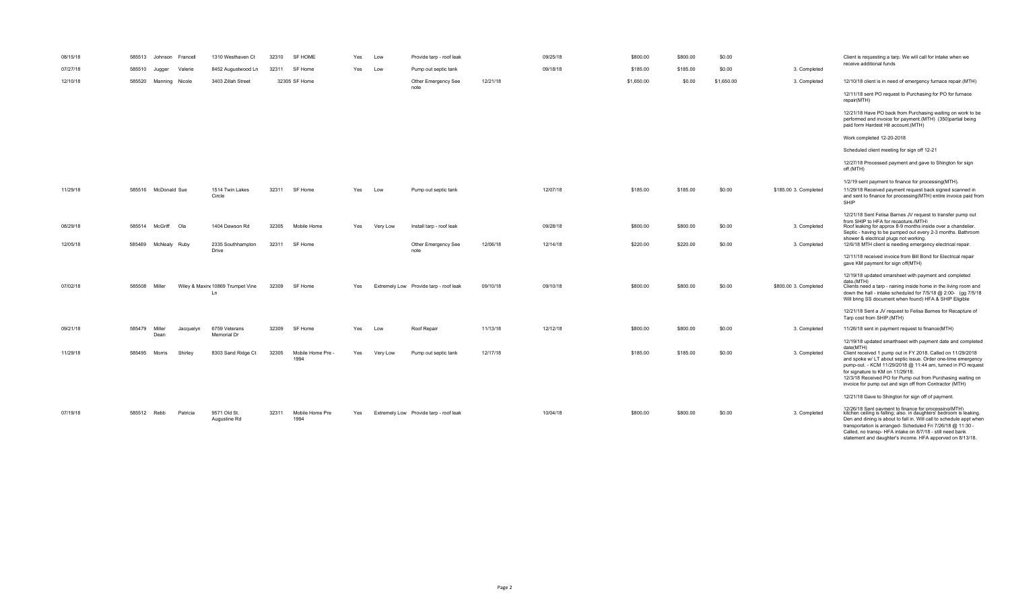| 08/15/18 |             | 585513 Johnson Francell |           | 1310 Westhaven Ct                       | 32310 | <b>SF HOME</b>          | Yes | Low      | Provide tarp - roof leak               |          | 09/25/18 | \$800.00   | \$800.00 | \$0.00     |                       | Client is requesting a tarp. We will call for intake when we<br>receive additional funds                                                                                                                                                                                                                                                                                                    |
|----------|-------------|-------------------------|-----------|-----------------------------------------|-------|-------------------------|-----|----------|----------------------------------------|----------|----------|------------|----------|------------|-----------------------|---------------------------------------------------------------------------------------------------------------------------------------------------------------------------------------------------------------------------------------------------------------------------------------------------------------------------------------------------------------------------------------------|
| 07/27/18 |             | 585510 Jugger           | Valerie   | 8452 Augustwood Ln                      | 32311 | SF Home                 | Yes | Low      | Pump out septic tank                   |          | 09/18/18 | \$185.00   | \$185.00 | \$0.00     | 3. Completed          |                                                                                                                                                                                                                                                                                                                                                                                             |
| 12/10/18 |             | 585520 Manning Nicole   |           | 3403 Zillah Street                      |       | 32305 SF Home           |     |          | Other Emergency See<br>note            | 12/21/18 |          | \$1,650.00 | \$0.00   | \$1,650.00 | 3. Completed          | 12/10/18 client is in need of emergency furnace repair.(MTH)                                                                                                                                                                                                                                                                                                                                |
|          |             |                         |           |                                         |       |                         |     |          |                                        |          |          |            |          |            |                       | 12/11/18 sent PO request to Purchasing for PO for furnace<br>repair(MTH)                                                                                                                                                                                                                                                                                                                    |
|          |             |                         |           |                                         |       |                         |     |          |                                        |          |          |            |          |            |                       | 12/21/18 Have PO back from Purchasing waiting on work to be<br>performed and invoice for payment.(MTH) (350)partial being<br>paid form Hardest Hit account.(MTH)                                                                                                                                                                                                                            |
|          |             |                         |           |                                         |       |                         |     |          |                                        |          |          |            |          |            |                       | Work completed 12-20-2018                                                                                                                                                                                                                                                                                                                                                                   |
|          |             |                         |           |                                         |       |                         |     |          |                                        |          |          |            |          |            |                       | Scheduled client meeting for sign off 12-21                                                                                                                                                                                                                                                                                                                                                 |
|          |             |                         |           |                                         |       |                         |     |          |                                        |          |          |            |          |            |                       | 12/27/18 Processed payment and gave to Shington for sign<br>off.(MTH)                                                                                                                                                                                                                                                                                                                       |
|          |             |                         |           |                                         |       |                         |     |          |                                        |          |          |            |          |            |                       | 1/2/19 sent payment to finance for processing(MTH).                                                                                                                                                                                                                                                                                                                                         |
| 11/29/18 |             | 585516 McDonald Sue     |           | 1514 Twin Lakes<br>Circle               | 32311 | SF Home                 | Yes | Low      | Pump out septic tank                   |          | 12/07/18 | \$185.00   | \$185.00 | \$0.00     | \$185.00 3. Completed | 11/29/18 Received payment request back signed scanned in<br>and sent to finance for processing(MTH) entire invoice paid from<br>SHIP                                                                                                                                                                                                                                                        |
| 08/29/18 |             | 585514 McGriff Ola      |           | 1404 Dawson Rd                          | 32305 | Mobile Home             | Yes | Very Low | Install tarp - roof leak               |          | 09/28/18 | \$800.00   | \$800.00 | \$0.00     | 3. Completed          | 12/21/18 Sent Felisa Barnes JV request to transfer pump out<br>from SHIP to HFA for recapture.(MTH)<br>Roof leaking for approx 8-9 months inside over a chandelier.<br>Septic - having to be pumped out every 2-3 months. Bathroom                                                                                                                                                          |
| 12/05/18 | 585469      | McNealy Ruby            |           | 2335 Southhampton<br><b>Drive</b>       | 32311 | SF Home                 |     |          | Other Emergency See<br>note            | 12/06/18 | 12/14/18 | \$220.00   | \$220.00 | \$0.00     | 3. Completed          | shower & electrical plugs not working.<br>12/6/18 MTH client is needing emergency electrical repair.                                                                                                                                                                                                                                                                                        |
|          |             |                         |           |                                         |       |                         |     |          |                                        |          |          |            |          |            |                       | 12/11/18 received invoice from Bill Bond for Electrical repair<br>gave KM payment for sign off(MTH)                                                                                                                                                                                                                                                                                         |
| 07/02/18 | 585508      | Miller                  |           | Wiley & Maxin  10869 Trumpet Vine<br>Ln | 32309 | SF Home                 | Yes |          | Extremely Low Provide tarp - roof leak | 09/10/18 | 09/10/18 | \$800.00   | \$800.00 | \$0.00     | \$800.00 3. Completed | 12/19/18 updated smarsheet with payment and completed<br>date (MTH)<br>Clients need a tarp - raining inside home in the living room and<br>down the hall - intake scheduled for 7/5/18 @ 2:00- (gg 7/5/18                                                                                                                                                                                   |
|          |             |                         |           |                                         |       |                         |     |          |                                        |          |          |            |          |            |                       | Will bring SS document when found) HFA & SHIP Eligible                                                                                                                                                                                                                                                                                                                                      |
|          |             |                         |           |                                         |       |                         |     |          |                                        |          |          |            |          |            |                       | 12/21/18 Sent a JV request to Felisa Barnes for Recapture of<br>Tarp cost from SHIP.(MTH)                                                                                                                                                                                                                                                                                                   |
| 09/21/18 | 585479      | Miller<br>Dean          | Jacquelyn | 6759 Veterans<br>Memorial Dr            | 32309 | SF Home                 | Yes | Low      | Roof Repair                            | 11/13/18 | 12/12/18 | \$800.00   | \$800.00 | \$0.00     | 3. Completed          | 11/26/18 sent in payment request to finance(MTH)                                                                                                                                                                                                                                                                                                                                            |
| 11/29/18 | 585495      | Morris                  | Shirley   | 8303 Sand Ridge Ct                      | 32305 | Mobile Home Pre -       | Yes | Very Low | Pump out septic tank                   | 12/17/18 |          | \$185.00   | \$185.00 | \$0.00     | 3. Completed          | 12/19/18 updated smarthseet with payment date and completed<br>date(MTH)<br>Client received 1 pump out in FY 2018. Called on 11/29/2018                                                                                                                                                                                                                                                     |
|          |             |                         |           |                                         |       | 1994                    |     |          |                                        |          |          |            |          |            |                       | and spoke w/ LT about septic issue. Order one-time emergency<br>pump-out. - KCM 11/29/2018 @ 11:44 am, turned in PO request<br>for signature to KM on 11/29/18.<br>12/3/18 Received PO for Pump out from Purchasing waiting on                                                                                                                                                              |
|          |             |                         |           |                                         |       |                         |     |          |                                        |          |          |            |          |            |                       | invoice for pump out and sign off from Contractor (MTH)                                                                                                                                                                                                                                                                                                                                     |
|          |             |                         |           |                                         |       |                         |     |          |                                        |          |          |            |          |            |                       | 12/21/18 Gave to Shington for sign off of payment.                                                                                                                                                                                                                                                                                                                                          |
| 07/19/18 | 585512 Rebb |                         | Patricia  | 9571 Old St.<br>Augustine Rd            | 32311 | Mobile Home Pre<br>1994 | Yes |          | Extremely Low Provide tarp - roof leak |          | 10/04/18 | \$800.00   | \$800.00 | \$0.00     | 3. Completed          | 19/98/18 Sant novmant to finance for processing/MTH)<br>kitchen ceiling is falling; also. in daughters' bedroom is leaking.<br>Den and dining is about to fall in. Will call to schedule appt when<br>transportation is arranged- Scheduled Fri 7/26/18 @ 11:30 -<br>Called, no transp- HFA intake on 8/7/18 - still need bank<br>statement and daughter's income. HFA apporved on 8/13/18. |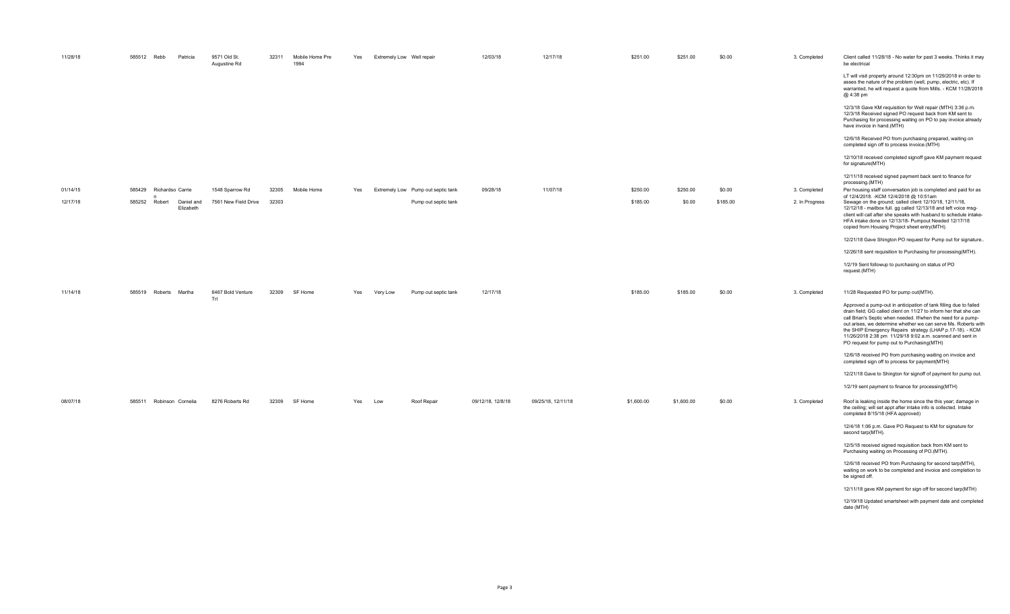| 11/28/18 | 585512 Rebb<br>Patricia                  | 9571 Old St.<br>Augustine Rd | 32311 | Mobile Home Pre<br>1994 | Yes | Extremely Low Well repair |                                    | 12/03/18          | 12/17/18           | \$251.00   | \$251.00   | \$0.00   | 3. Completed   | Client called 11/28/18 - No water for past 3 weeks. Thinks it may<br>be electrical                                                                                                                                                                                                                                                                                                                                                                |
|----------|------------------------------------------|------------------------------|-------|-------------------------|-----|---------------------------|------------------------------------|-------------------|--------------------|------------|------------|----------|----------------|---------------------------------------------------------------------------------------------------------------------------------------------------------------------------------------------------------------------------------------------------------------------------------------------------------------------------------------------------------------------------------------------------------------------------------------------------|
|          |                                          |                              |       |                         |     |                           |                                    |                   |                    |            |            |          |                | LT will visit property around 12:30pm on 11/29/2018 in order to<br>asses the nature of the problem (well, pump, electric, etc). If<br>warranted, he will request a quote from Mills. - KCM 11/28/2018<br>@ 4:38 pm                                                                                                                                                                                                                                |
|          |                                          |                              |       |                         |     |                           |                                    |                   |                    |            |            |          |                | 12/3/18 Gave KM requisition for Well repair (MTH) 3:36 p.m.<br>12/3/18 Received signed PO request back from KM sent to<br>Purchasing for processing waiting on PO to pay invoice already<br>have invoice in hand.(MTH)                                                                                                                                                                                                                            |
|          |                                          |                              |       |                         |     |                           |                                    |                   |                    |            |            |          |                | 12/6/18 Received PO from purchasing prepared, waiting on<br>completed sign off to process invoice.(MTH)                                                                                                                                                                                                                                                                                                                                           |
|          |                                          |                              |       |                         |     |                           |                                    |                   |                    |            |            |          |                | 12/10/18 received completed signoff gave KM payment request<br>for signature(MTH)                                                                                                                                                                                                                                                                                                                                                                 |
|          |                                          |                              |       |                         |     |                           |                                    |                   |                    |            |            |          |                | 12/11/18 received signed payment back sent to finance for<br>processing.(MTH)                                                                                                                                                                                                                                                                                                                                                                     |
| 01/14/15 | 585429<br>Richardso Carrie               | 1548 Sparrow Rd              | 32305 | Mobile Home             | Yes |                           | Extremely Low Pump out septic tank | 09/28/18          | 11/07/18           | \$250.00   | \$250.00   | \$0.00   | 3. Completed   | Per housing staff conversation job is completed and paid for as<br>of 12/4/2018. - KCM 12/4/2018 @ 10:51am                                                                                                                                                                                                                                                                                                                                        |
| 12/17/18 | 585252 Robert<br>Daniel and<br>Elizabeth | 7561 New Field Drive         | 32303 |                         |     |                           | Pump out septic tank               |                   |                    | \$185.00   | \$0.00     | \$185.00 | 2. In Progress | Sewage on the ground; called client 12/10/18, 12/11/18,<br>12/12/18 - mailbox full. gg called 12/13/18 and left voice msg-<br>client will call after she speaks with husband to schedule intake-<br>HFA intake done on 12/13/18- Pumpout Needed 12/17/18<br>copied from Housing Project sheet entry(MTH).                                                                                                                                         |
|          |                                          |                              |       |                         |     |                           |                                    |                   |                    |            |            |          |                | 12/21/18 Gave Shington PO request for Pump out for signature.                                                                                                                                                                                                                                                                                                                                                                                     |
|          |                                          |                              |       |                         |     |                           |                                    |                   |                    |            |            |          |                | 12/26/18 sent requisition to Purchasing for processing(MTH).                                                                                                                                                                                                                                                                                                                                                                                      |
|          |                                          |                              |       |                         |     |                           |                                    |                   |                    |            |            |          |                | 1/2/19 Sent followup to purchasing on status of PO<br>request.(MTH)                                                                                                                                                                                                                                                                                                                                                                               |
| 11/14/18 | 585519 Roberts Martha                    | 6467 Bold Venture<br>Trl     | 32309 | SF Home                 | Yes | Very Low                  | Pump out septic tank               | 12/17/18          |                    | \$185.00   | \$185.00   | \$0.00   | 3. Completed   | 11/28 Requested PO for pump out(MTH).                                                                                                                                                                                                                                                                                                                                                                                                             |
|          |                                          |                              |       |                         |     |                           |                                    |                   |                    |            |            |          |                | Approved a pump-out in anticipation of tank filling due to failed<br>drain field; GG called client on 11/27 to inform her that she can<br>call Brian's Septic when needed. If/when the need for a pump-<br>out arises, we determine whether we can serve Ms. Roberts with<br>the SHIP Emergency Repairs strategy (LHAP p.17-18). - KCM<br>11/26/2018 2:38 pm 11/29/18 9:02 a.m. scanned and sent in<br>PO request for pump out to Purchasing(MTH) |
|          |                                          |                              |       |                         |     |                           |                                    |                   |                    |            |            |          |                | 12/6/18 received PO from purchasing waiting on invoice and<br>completed sign off to process for payment(MTH)                                                                                                                                                                                                                                                                                                                                      |
|          |                                          |                              |       |                         |     |                           |                                    |                   |                    |            |            |          |                | 12/21/18 Gave to Shington for signoff of payment for pump out.                                                                                                                                                                                                                                                                                                                                                                                    |
|          |                                          |                              |       |                         |     |                           |                                    |                   |                    |            |            |          |                | 1/2/19 sent payment to finance for processing(MTH)                                                                                                                                                                                                                                                                                                                                                                                                |
| 08/07/18 | 585511 Robinson Cornelia                 | 8276 Roberts Rd              | 32309 | SF Home                 | Yes | Low                       | Roof Repair                        | 09/12/18, 12/8/18 | 09/25/18, 12/11/18 | \$1,600.00 | \$1,600.00 | \$0.00   | 3. Completed   | Roof is leaking inside the home since the this year; damage in<br>the ceiling; will set appt after intake info is collected. Intake<br>completed 8/15/18 (HFA approved)                                                                                                                                                                                                                                                                           |
|          |                                          |                              |       |                         |     |                           |                                    |                   |                    |            |            |          |                | 12/4/18 1:06 p.m. Gave PO Request to KM for signature for<br>second tarp(MTH).                                                                                                                                                                                                                                                                                                                                                                    |
|          |                                          |                              |       |                         |     |                           |                                    |                   |                    |            |            |          |                | 12/5/18 received signed requisition back from KM sent to<br>Purchasing waiting on Processing of PO.(MTH).                                                                                                                                                                                                                                                                                                                                         |
|          |                                          |                              |       |                         |     |                           |                                    |                   |                    |            |            |          |                | 12/6/18 received PO from Purchasing for second tarp(MTH),<br>waiting on work to be completed and invoice and completion to<br>be signed off.                                                                                                                                                                                                                                                                                                      |
|          |                                          |                              |       |                         |     |                           |                                    |                   |                    |            |            |          |                | 12/11/18 gave KM payment for sign off for second tarp(MTH)                                                                                                                                                                                                                                                                                                                                                                                        |
|          |                                          |                              |       |                         |     |                           |                                    |                   |                    |            |            |          |                | 12/19/18 Updated smartsheet with payment date and completed<br>date (MTH)                                                                                                                                                                                                                                                                                                                                                                         |
|          |                                          |                              |       |                         |     |                           |                                    |                   |                    |            |            |          |                |                                                                                                                                                                                                                                                                                                                                                                                                                                                   |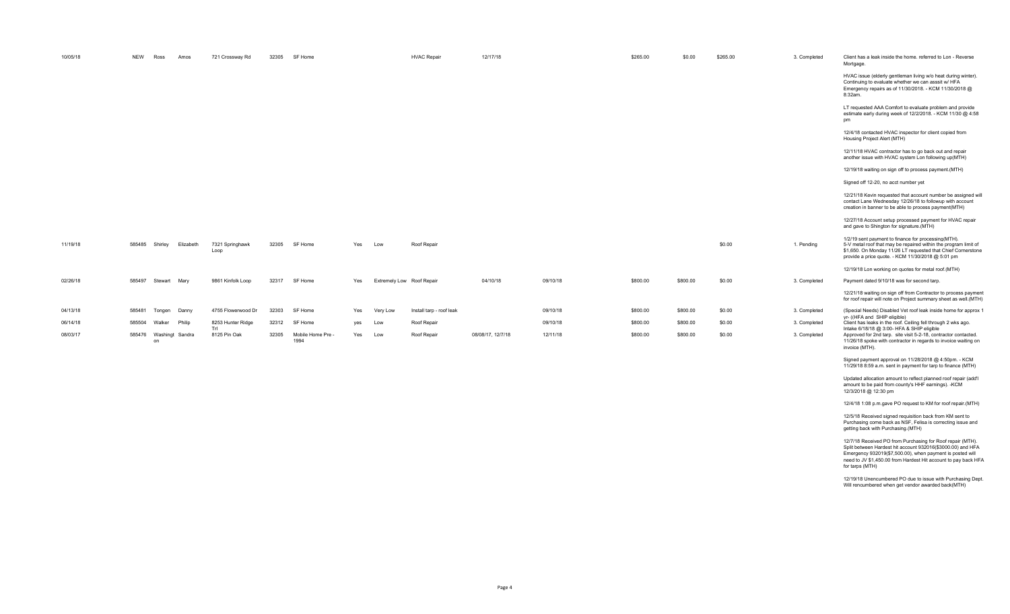| 10/05/18 | <b>NEW</b>   | Ross<br>Amos         | 721 Crossway Rd          | 32305 | SF Home                   |     |          | <b>HVAC Repair</b>        | 12/17/18          |          | \$265.00 | \$0.00   | \$265.00 | 3. Completed | Client has a leak inside the home, referred to Lon - Reverse<br>Mortgage.                                                                                                                                                                   |
|----------|--------------|----------------------|--------------------------|-------|---------------------------|-----|----------|---------------------------|-------------------|----------|----------|----------|----------|--------------|---------------------------------------------------------------------------------------------------------------------------------------------------------------------------------------------------------------------------------------------|
|          |              |                      |                          |       |                           |     |          |                           |                   |          |          |          |          |              | HVAC issue (elderly gentleman living w/o heat during winter).<br>Continuing to evaluate whether we can asssit w/ HFA<br>Emergency repairs as of 11/30/2018. - KCM 11/30/2018 @<br>8:32am.                                                   |
|          |              |                      |                          |       |                           |     |          |                           |                   |          |          |          |          |              | LT requested AAA Comfort to evaluate problem and provide<br>estimate early during week of 12/2/2018. - KCM 11/30 @ 4:58<br>pm                                                                                                               |
|          |              |                      |                          |       |                           |     |          |                           |                   |          |          |          |          |              | 12/4/18 contacted HVAC inspector for client copied from<br>Housing Project Alert (MTH)                                                                                                                                                      |
|          |              |                      |                          |       |                           |     |          |                           |                   |          |          |          |          |              | 12/11/18 HVAC contractor has to go back out and repair<br>another issue with HVAC system Lon following up(MTH)                                                                                                                              |
|          |              |                      |                          |       |                           |     |          |                           |                   |          |          |          |          |              | 12/19/18 waiting on sign off to process payment.(MTH)                                                                                                                                                                                       |
|          |              |                      |                          |       |                           |     |          |                           |                   |          |          |          |          |              | Signed off 12-20, no acct number yet                                                                                                                                                                                                        |
|          |              |                      |                          |       |                           |     |          |                           |                   |          |          |          |          |              | 12/21/18 Kevin requested that account number be assigned will<br>contact Lane Wednesday 12/26/18 to followup with account<br>creation in banner to be able to process payment(MTH)                                                          |
|          |              |                      |                          |       |                           |     |          |                           |                   |          |          |          |          |              | 12/27/18 Account setup processed payment for HVAC repair<br>and gave to Shington for signature.(MTH)                                                                                                                                        |
| 11/19/18 | 585485       | Shirley<br>Elizabeth | 7321 Springhawk<br>Loop  | 32305 | SF Home                   | Yes | Low      | Roof Repair               |                   |          |          |          | \$0.00   | 1. Pending   | 1/2/19 sent payment to finance for processing(MTH).<br>5-V metal roof that may be repaired within the program limit of<br>\$1,650. On Monday 11/26 LT requested that Chief Cornerstone<br>provide a price quote. - KCM 11/30/2018 @ 5:01 pm |
|          |              |                      |                          |       |                           |     |          |                           |                   |          |          |          |          |              | 12/19/18 Lon working on quotes for metal roof.(MTH)                                                                                                                                                                                         |
| 02/26/18 | 585497       | Stewart<br>Marv      | 9861 Kinfolk Loop        | 32317 | SF Home                   | Yes |          | Extremely Low Roof Repair | 04/10/18          | 09/10/18 | \$800.00 | \$800.00 | \$0.00   | 3. Completed | Payment dated 9/10/18 was for second tarp.                                                                                                                                                                                                  |
|          |              |                      |                          |       |                           |     |          |                           |                   |          |          |          |          |              | 12/21/18 waiting on sign off from Contractor to process payment<br>for roof repair will note on Project summary sheet as well.(MTH)                                                                                                         |
| 04/13/18 | 585481       | Tongen<br>Danny      | 4755 Flowerwood Dr       | 32303 | SF Home                   | Yes | Very Low | Install tarp - roof leak  |                   | 09/10/18 | \$800.00 | \$800.00 | \$0.00   | 3. Completed | (Special Needs) Disabled Vet roof leak inside home for approx 1<br>yr- ((HFA and SHIP eligible)                                                                                                                                             |
| 06/14/18 | 585504       | Walker<br>Philip     | 8253 Hunter Ridge<br>Trl | 32312 | SF Home                   | yes | Low      | Roof Repair               |                   | 09/10/18 | \$800.00 | \$800.00 | \$0.00   | 3. Completed | Client has leaks in the roof. Ceiling fell through 2 wks ago.<br>Intake 6/18/18 @ 3:00- HFA & SHIP eligible                                                                                                                                 |
| 08/03/17 | 585476<br>on | Washingt Sandra      | 8125 Pin Oak             | 32305 | Mobile Home Pre -<br>1994 | Yes | Low      | Roof Repair               | 08/08/17, 12/7/18 | 12/11/18 | \$800.00 | \$800.00 | \$0.00   | 3. Completed | Approved for 2nd tarp. site visit 5-2-18, contractor contacted.<br>11/26/18 spoke with contractor in regards to invoice waiting on<br>invoice (MTH).                                                                                        |

Signed payment approval on 11/28/2018 @ 4:50pm. - KCM 11/29/18 8:59 a.m. sent in payment for tarp to finance (MTH)

Updated allocation amount to reflect planned roof repair (add'l amount to be paid from county's HHF earnings). -KCM 12/3/2018 @ 12:30 pm 12/4/18 1:08 p.m.gave PO request to KM for roof repair.(MTH)

12/5/18 Received signed requisition back from KM sent to Purchasing come back as NSF, Felisa is correcting issue and getting back with Purchasing.(MTH)

12/7/18 Received PO from Purchasing for Roof repair (MTH). Split between Hardest hit account 932016(\$3000.00) and HFA Emergency 932019(\$7,500.00), when payment is posted will need to JV \$1,450.00 from Hardest Hit account to pay back HFA for tarps (MTH)

12/19/18 Unencumbered PO due to issue with Purchasing Dept. Will rencumbered when get vendor awarded back(MTH)